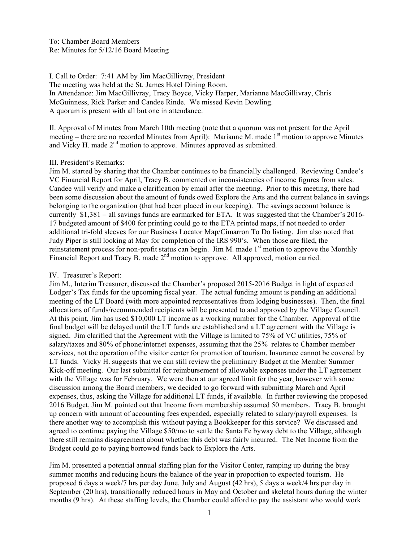I. Call to Order: 7:41 AM by Jim MacGillivray, President The meeting was held at the St. James Hotel Dining Room. In Attendance: Jim MacGillivray, Tracy Boyce, Vicky Harper, Marianne MacGillivray, Chris McGuinness, Rick Parker and Candee Rinde. We missed Kevin Dowling. A quorum is present with all but one in attendance.

II. Approval of Minutes from March 10th meeting (note that a quorum was not present for the April meeting – there are no recorded Minutes from April): Marianne M. made 1<sup>st</sup> motion to approve Minutes and Vicky H. made 2<sup>nd</sup> motion to approve. Minutes approved as submitted.

## III. President's Remarks:

Jim M. started by sharing that the Chamber continues to be financially challenged. Reviewing Candee's VC Financial Report for April, Tracy B. commented on inconsistencies of income figures from sales. Candee will verify and make a clarification by email after the meeting. Prior to this meeting, there had been some discussion about the amount of funds owed Explore the Arts and the current balance in savings belonging to the organization (that had been placed in our keeping). The savings account balance is currently \$1,381 – all savings funds are earmarked for ETA. It was suggested that the Chamber's 2016- 17 budgeted amount of \$400 for printing could go to the ETA printed maps, if not needed to order additional tri-fold sleeves for our Business Locator Map/Cimarron To Do listing. Jim also noted that Judy Piper is still looking at May for completion of the IRS 990's. When those are filed, the reinstatement process for non-profit status can begin. Jim M. made 1<sup>st</sup> motion to approve the Monthly Financial Report and Tracy B. made 2<sup>nd</sup> motion to approve. All approved, motion carried.

## IV. Treasurer's Report:

Jim M., Interim Treasurer, discussed the Chamber's proposed 2015-2016 Budget in light of expected Lodger's Tax funds for the upcoming fiscal year. The actual funding amount is pending an additional meeting of the LT Board (with more appointed representatives from lodging businesses). Then, the final allocations of funds/recommended recipients will be presented to and approved by the Village Council. At this point, Jim has used \$10,000 LT income as a working number for the Chamber. Approval of the final budget will be delayed until the LT funds are established and a LT agreement with the Village is signed. Jim clarified that the Agreement with the Village is limited to 75% of VC utilities, 75% of salary/taxes and 80% of phone/internet expenses, assuming that the 25% relates to Chamber member services, not the operation of the visitor center for promotion of tourism. Insurance cannot be covered by LT funds. Vicky H. suggests that we can still review the preliminary Budget at the Member Summer Kick-off meeting. Our last submittal for reimbursement of allowable expenses under the LT agreement with the Village was for February. We were then at our agreed limit for the year, however with some discussion among the Board members, we decided to go forward with submitting March and April expenses, thus, asking the Village for additional LT funds, if available. In further reviewing the proposed 2016 Budget, Jim M. pointed out that Income from membership assumed 50 members. Tracy B. brought up concern with amount of accounting fees expended, especially related to salary/payroll expenses. Is there another way to accomplish this without paying a Bookkeeper for this service? We discussed and agreed to continue paying the Village \$50/mo to settle the Santa Fe byway debt to the Village, although there still remains disagreement about whether this debt was fairly incurred. The Net Income from the Budget could go to paying borrowed funds back to Explore the Arts.

Jim M. presented a potential annual staffing plan for the Visitor Center, ramping up during the busy summer months and reducing hours the balance of the year in proportion to expected tourism. He proposed 6 days a week/7 hrs per day June, July and August (42 hrs), 5 days a week/4 hrs per day in September (20 hrs), transitionally reduced hours in May and October and skeletal hours during the winter months (9 hrs). At these staffing levels, the Chamber could afford to pay the assistant who would work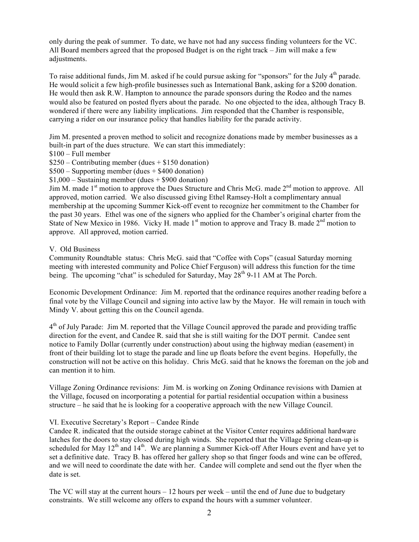only during the peak of summer. To date, we have not had any success finding volunteers for the VC. All Board members agreed that the proposed Budget is on the right track – Jim will make a few adjustments.

To raise additional funds, Jim M. asked if he could pursue asking for "sponsors" for the July 4<sup>th</sup> parade. He would solicit a few high-profile businesses such as International Bank, asking for a \$200 donation. He would then ask R.W. Hampton to announce the parade sponsors during the Rodeo and the names would also be featured on posted flyers about the parade. No one objected to the idea, although Tracy B. wondered if there were any liability implications. Jim responded that the Chamber is responsible, carrying a rider on our insurance policy that handles liability for the parade activity.

Jim M. presented a proven method to solicit and recognize donations made by member businesses as a built-in part of the dues structure. We can start this immediately:

\$100 – Full member

 $$250$  – Contributing member (dues  $+ $150$  donation)

- $$500 -$  Supporting member (dues  $+ $400$  donation)
- $$1,000 -$  Sustaining member (dues  $+$  \$900 donation)

Jim M. made 1<sup>st</sup> motion to approve the Dues Structure and Chris McG. made 2<sup>nd</sup> motion to approve. All approved, motion carried. We also discussed giving Ethel Ramsey-Holt a complimentary annual membership at the upcoming Summer Kick-off event to recognize her commitment to the Chamber for the past 30 years. Ethel was one of the signers who applied for the Chamber's original charter from the State of New Mexico in 1986. Vicky H. made 1<sup>st</sup> motion to approve and Tracy B. made 2<sup>nd</sup> motion to approve. All approved, motion carried.

## V. Old Business

Community Roundtable status: Chris McG. said that "Coffee with Cops" (casual Saturday morning meeting with interested community and Police Chief Ferguson) will address this function for the time being. The upcoming "chat" is scheduled for Saturday, May  $28<sup>th</sup>$  9-11 AM at The Porch.

Economic Development Ordinance: Jim M. reported that the ordinance requires another reading before a final vote by the Village Council and signing into active law by the Mayor. He will remain in touch with Mindy V. about getting this on the Council agenda.

 $4<sup>th</sup>$  of July Parade: Jim M. reported that the Village Council approved the parade and providing traffic direction for the event, and Candee R. said that she is still waiting for the DOT permit. Candee sent notice to Family Dollar (currently under construction) about using the highway median (easement) in front of their building lot to stage the parade and line up floats before the event begins. Hopefully, the construction will not be active on this holiday. Chris McG. said that he knows the foreman on the job and can mention it to him.

Village Zoning Ordinance revisions: Jim M. is working on Zoning Ordinance revisions with Damien at the Village, focused on incorporating a potential for partial residential occupation within a business structure – he said that he is looking for a cooperative approach with the new Village Council.

## VI. Executive Secretary's Report – Candee Rinde

Candee R. indicated that the outside storage cabinet at the Visitor Center requires additional hardware latches for the doors to stay closed during high winds. She reported that the Village Spring clean-up is scheduled for May 12<sup>th</sup> and 14<sup>th</sup>. We are planning a Summer Kick-off After Hours event and have yet to set a definitive date. Tracy B. has offered her gallery shop so that finger foods and wine can be offered, and we will need to coordinate the date with her. Candee will complete and send out the flyer when the date is set.

The VC will stay at the current hours  $-12$  hours per week – until the end of June due to budgetary constraints. We still welcome any offers to expand the hours with a summer volunteer.